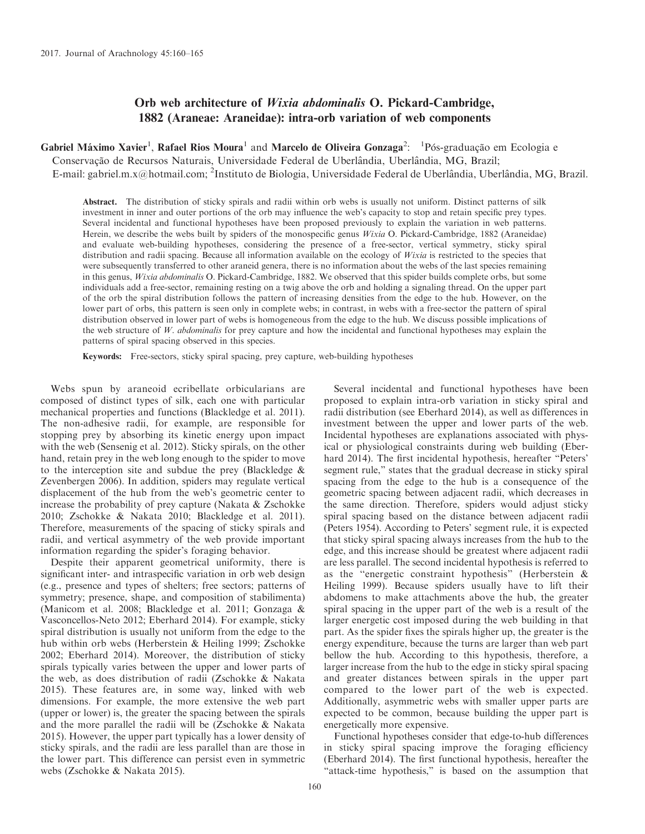# Orb web architecture of Wixia abdominalis O. Pickard-Cambridge, 1882 (Araneae: Araneidae): intra-orb variation of web components

Gabriel Máximo Xavier<sup>1</sup>, Rafael Rios Moura<sup>1</sup> and Marcelo de Oliveira Gonzaga<sup>2</sup>: <sup>1</sup>Pós-graduação em Ecologia e Conservação de Recursos Naturais, Universidade Federal de Uberlândia, Uberlândia, MG, Brazil; E-mail: [gabriel.m.x@hotmail.com;](mailto:gabriel.m.x@hotmail.com) <sup>2</sup>Instituto de Biologia, Universidade Federal de Uberlândia, Uberlândia, MG, Brazil.

Abstract. The distribution of sticky spirals and radii within orb webs is usually not uniform. Distinct patterns of silk investment in inner and outer portions of the orb may influence the web's capacity to stop and retain specific prey types. Several incidental and functional hypotheses have been proposed previously to explain the variation in web patterns. Herein, we describe the webs built by spiders of the monospecific genus Wixia O. Pickard-Cambridge, 1882 (Araneidae) and evaluate web-building hypotheses, considering the presence of a free-sector, vertical symmetry, sticky spiral distribution and radii spacing. Because all information available on the ecology of Wixia is restricted to the species that were subsequently transferred to other araneid genera, there is no information about the webs of the last species remaining in this genus, Wixia abdominalis O. Pickard-Cambridge, 1882. We observed that this spider builds complete orbs, but some individuals add a free-sector, remaining resting on a twig above the orb and holding a signaling thread. On the upper part of the orb the spiral distribution follows the pattern of increasing densities from the edge to the hub. However, on the lower part of orbs, this pattern is seen only in complete webs; in contrast, in webs with a free-sector the pattern of spiral distribution observed in lower part of webs is homogeneous from the edge to the hub. We discuss possible implications of the web structure of W. abdominalis for prey capture and how the incidental and functional hypotheses may explain the patterns of spiral spacing observed in this species.

Keywords: Free-sectors, sticky spiral spacing, prey capture, web-building hypotheses

Webs spun by araneoid ecribellate orbicularians are composed of distinct types of silk, each one with particular mechanical properties and functions (Blackledge et al. 2011). The non-adhesive radii, for example, are responsible for stopping prey by absorbing its kinetic energy upon impact with the web (Sensenig et al. 2012). Sticky spirals, on the other hand, retain prey in the web long enough to the spider to move to the interception site and subdue the prey (Blackledge  $\&$ Zevenbergen 2006). In addition, spiders may regulate vertical displacement of the hub from the web's geometric center to increase the probability of prey capture (Nakata & Zschokke 2010; Zschokke & Nakata 2010; Blackledge et al. 2011). Therefore, measurements of the spacing of sticky spirals and radii, and vertical asymmetry of the web provide important information regarding the spider's foraging behavior.

Despite their apparent geometrical uniformity, there is significant inter- and intraspecific variation in orb web design (e.g., presence and types of shelters; free sectors; patterns of symmetry; presence, shape, and composition of stabilimenta) (Manicom et al. 2008; Blackledge et al. 2011; Gonzaga & Vasconcellos-Neto 2012; Eberhard 2014). For example, sticky spiral distribution is usually not uniform from the edge to the hub within orb webs (Herberstein & Heiling 1999; Zschokke 2002; Eberhard 2014). Moreover, the distribution of sticky spirals typically varies between the upper and lower parts of the web, as does distribution of radii (Zschokke & Nakata 2015). These features are, in some way, linked with web dimensions. For example, the more extensive the web part (upper or lower) is, the greater the spacing between the spirals and the more parallel the radii will be (Zschokke & Nakata 2015). However, the upper part typically has a lower density of sticky spirals, and the radii are less parallel than are those in the lower part. This difference can persist even in symmetric webs (Zschokke & Nakata 2015).

Several incidental and functional hypotheses have been proposed to explain intra-orb variation in sticky spiral and radii distribution (see Eberhard 2014), as well as differences in investment between the upper and lower parts of the web. Incidental hypotheses are explanations associated with physical or physiological constraints during web building (Eberhard 2014). The first incidental hypothesis, hereafter ''Peters' segment rule,'' states that the gradual decrease in sticky spiral spacing from the edge to the hub is a consequence of the geometric spacing between adjacent radii, which decreases in the same direction. Therefore, spiders would adjust sticky spiral spacing based on the distance between adjacent radii (Peters 1954). According to Peters' segment rule, it is expected that sticky spiral spacing always increases from the hub to the edge, and this increase should be greatest where adjacent radii are less parallel. The second incidental hypothesis is referred to as the ''energetic constraint hypothesis'' (Herberstein & Heiling 1999). Because spiders usually have to lift their abdomens to make attachments above the hub, the greater spiral spacing in the upper part of the web is a result of the larger energetic cost imposed during the web building in that part. As the spider fixes the spirals higher up, the greater is the energy expenditure, because the turns are larger than web part bellow the hub. According to this hypothesis, therefore, a larger increase from the hub to the edge in sticky spiral spacing and greater distances between spirals in the upper part compared to the lower part of the web is expected. Additionally, asymmetric webs with smaller upper parts are expected to be common, because building the upper part is energetically more expensive.

Functional hypotheses consider that edge-to-hub differences in sticky spiral spacing improve the foraging efficiency (Eberhard 2014). The first functional hypothesis, hereafter the "attack-time hypothesis," is based on the assumption that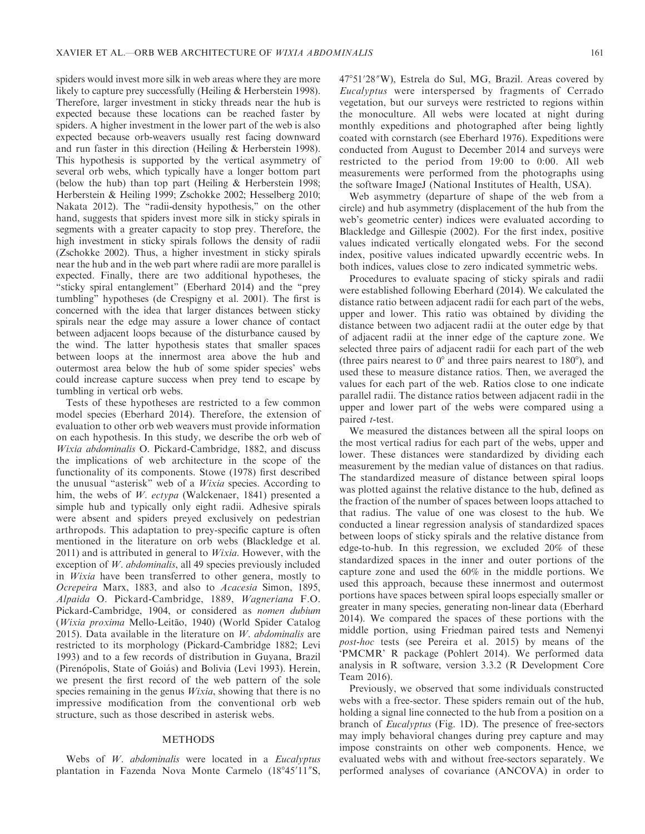spiders would invest more silk in web areas where they are more likely to capture prey successfully (Heiling & Herberstein 1998). Therefore, larger investment in sticky threads near the hub is expected because these locations can be reached faster by spiders. A higher investment in the lower part of the web is also expected because orb-weavers usually rest facing downward and run faster in this direction (Heiling & Herberstein 1998). This hypothesis is supported by the vertical asymmetry of several orb webs, which typically have a longer bottom part (below the hub) than top part (Heiling & Herberstein 1998; Herberstein & Heiling 1999; Zschokke 2002; Hesselberg 2010; Nakata 2012). The "radii-density hypothesis," on the other hand, suggests that spiders invest more silk in sticky spirals in segments with a greater capacity to stop prey. Therefore, the high investment in sticky spirals follows the density of radii (Zschokke 2002). Thus, a higher investment in sticky spirals near the hub and in the web part where radii are more parallel is expected. Finally, there are two additional hypotheses, the "sticky spiral entanglement" (Eberhard 2014) and the "prey tumbling'' hypotheses (de Crespigny et al. 2001). The first is concerned with the idea that larger distances between sticky spirals near the edge may assure a lower chance of contact between adjacent loops because of the disturbance caused by the wind. The latter hypothesis states that smaller spaces between loops at the innermost area above the hub and outermost area below the hub of some spider species' webs could increase capture success when prey tend to escape by tumbling in vertical orb webs.

Tests of these hypotheses are restricted to a few common model species (Eberhard 2014). Therefore, the extension of evaluation to other orb web weavers must provide information on each hypothesis. In this study, we describe the orb web of Wixia abdominalis O. Pickard-Cambridge, 1882, and discuss the implications of web architecture in the scope of the functionality of its components. Stowe (1978) first described the unusual "asterisk" web of a Wixia species. According to him, the webs of W. ectypa (Walckenaer, 1841) presented a simple hub and typically only eight radii. Adhesive spirals were absent and spiders preyed exclusively on pedestrian arthropods. This adaptation to prey-specific capture is often mentioned in the literature on orb webs (Blackledge et al. 2011) and is attributed in general to *Wixia*. However, with the exception of W. *abdominalis*, all 49 species previously included in Wixia have been transferred to other genera, mostly to Ocrepeira Marx, 1883, and also to Acacesia Simon, 1895, Alpaida O. Pickard-Cambridge, 1889, Wagneriana F.O. Pickard-Cambridge, 1904, or considered as nomen dubium (Wixia proxima Mello-Leitão, 1940) (World Spider Catalog 2015). Data available in the literature on  $W$ , abdominalis are restricted to its morphology (Pickard-Cambridge 1882; Levi 1993) and to a few records of distribution in Guyana, Brazil (Pirenópolis, State of Goiás) and Bolivia (Levi 1993). Herein, we present the first record of the web pattern of the sole species remaining in the genus *Wixia*, showing that there is no impressive modification from the conventional orb web structure, such as those described in asterisk webs.

#### METHODS

Webs of W. abdominalis were located in a Eucalyptus plantation in Fazenda Nova Monte Carmelo (18°45'11"S,

47°51′28″W), Estrela do Sul, MG, Brazil. Areas covered by Eucalyptus were interspersed by fragments of Cerrado vegetation, but our surveys were restricted to regions within the monoculture. All webs were located at night during monthly expeditions and photographed after being lightly coated with cornstarch (see Eberhard 1976). Expeditions were conducted from August to December 2014 and surveys were restricted to the period from 19:00 to 0:00. All web measurements were performed from the photographs using the software ImageJ (National Institutes of Health, USA).

Web asymmetry (departure of shape of the web from a circle) and hub asymmetry (displacement of the hub from the web's geometric center) indices were evaluated according to Blackledge and Gillespie (2002). For the first index, positive values indicated vertically elongated webs. For the second index, positive values indicated upwardly eccentric webs. In both indices, values close to zero indicated symmetric webs.

Procedures to evaluate spacing of sticky spirals and radii were established following Eberhard (2014). We calculated the distance ratio between adjacent radii for each part of the webs, upper and lower. This ratio was obtained by dividing the distance between two adjacent radii at the outer edge by that of adjacent radii at the inner edge of the capture zone. We selected three pairs of adjacent radii for each part of the web (three pairs nearest to  $0^{\circ}$  and three pairs nearest to 180 $^{\circ}$ ), and used these to measure distance ratios. Then, we averaged the values for each part of the web. Ratios close to one indicate parallel radii. The distance ratios between adjacent radii in the upper and lower part of the webs were compared using a paired *t*-test.

We measured the distances between all the spiral loops on the most vertical radius for each part of the webs, upper and lower. These distances were standardized by dividing each measurement by the median value of distances on that radius. The standardized measure of distance between spiral loops was plotted against the relative distance to the hub, defined as the fraction of the number of spaces between loops attached to that radius. The value of one was closest to the hub. We conducted a linear regression analysis of standardized spaces between loops of sticky spirals and the relative distance from edge-to-hub. In this regression, we excluded 20% of these standardized spaces in the inner and outer portions of the capture zone and used the 60% in the middle portions. We used this approach, because these innermost and outermost portions have spaces between spiral loops especially smaller or greater in many species, generating non-linear data (Eberhard 2014). We compared the spaces of these portions with the middle portion, using Friedman paired tests and Nemenyi post-hoc tests (see Pereira et al. 2015) by means of the 'PMCMR' R package (Pohlert 2014). We performed data analysis in R software, version 3.3.2 (R Development Core Team 2016).

Previously, we observed that some individuals constructed webs with a free-sector. These spiders remain out of the hub, holding a signal line connected to the hub from a position on a branch of Eucalyptus (Fig. 1D). The presence of free-sectors may imply behavioral changes during prey capture and may impose constraints on other web components. Hence, we evaluated webs with and without free-sectors separately. We performed analyses of covariance (ANCOVA) in order to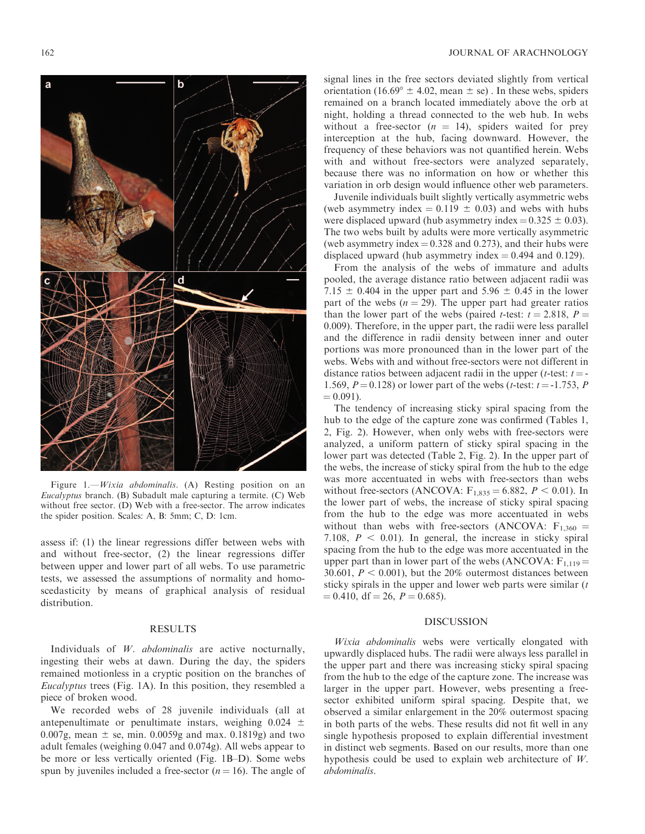

Figure 1.—Wixia abdominalis. (A) Resting position on an Eucalyptus branch. (B) Subadult male capturing a termite. (C) Web without free sector. (D) Web with a free-sector. The arrow indicates the spider position. Scales: A, B: 5mm; C, D: 1cm.

assess if: (1) the linear regressions differ between webs with and without free-sector, (2) the linear regressions differ between upper and lower part of all webs. To use parametric tests, we assessed the assumptions of normality and homoscedasticity by means of graphical analysis of residual distribution.

## RESULTS

Individuals of W. abdominalis are active nocturnally, ingesting their webs at dawn. During the day, the spiders remained motionless in a cryptic position on the branches of Eucalyptus trees (Fig. 1A). In this position, they resembled a piece of broken wood.

We recorded webs of 28 juvenile individuals (all at antepenultimate or penultimate instars, weighing  $0.024 \pm$ 0.007g, mean  $\pm$  se, min. 0.0059g and max. 0.1819g) and two adult females (weighing 0.047 and 0.074g). All webs appear to be more or less vertically oriented (Fig. 1B–D). Some webs spun by juveniles included a free-sector  $(n = 16)$ . The angle of

signal lines in the free sectors deviated slightly from vertical orientation (16.69°  $\pm$  4.02, mean  $\pm$  se). In these webs, spiders remained on a branch located immediately above the orb at night, holding a thread connected to the web hub. In webs without a free-sector ( $n = 14$ ), spiders waited for prey interception at the hub, facing downward. However, the frequency of these behaviors was not quantified herein. Webs with and without free-sectors were analyzed separately, because there was no information on how or whether this variation in orb design would influence other web parameters.

Juvenile individuals built slightly vertically asymmetric webs (web asymmetry index  $= 0.119 \pm 0.03$ ) and webs with hubs were displaced upward (hub asymmetry index =  $0.325 \pm 0.03$ ). The two webs built by adults were more vertically asymmetric (web asymmetry index  $= 0.328$  and 0.273), and their hubs were displaced upward (hub asymmetry index  $= 0.494$  and 0.129).

From the analysis of the webs of immature and adults pooled, the average distance ratio between adjacent radii was 7.15  $\pm$  0.404 in the upper part and 5.96  $\pm$  0.45 in the lower part of the webs  $(n = 29)$ . The upper part had greater ratios than the lower part of the webs (paired *t*-test:  $t = 2.818$ ,  $P =$ 0.009). Therefore, in the upper part, the radii were less parallel and the difference in radii density between inner and outer portions was more pronounced than in the lower part of the webs. Webs with and without free-sectors were not different in distance ratios between adjacent radii in the upper (*t*-test:  $t = -$ 1.569,  $P = 0.128$ ) or lower part of the webs (*t*-test:  $t = -1.753$ , P  $= 0.091$ .

The tendency of increasing sticky spiral spacing from the hub to the edge of the capture zone was confirmed (Tables 1, 2, Fig. 2). However, when only webs with free-sectors were analyzed, a uniform pattern of sticky spiral spacing in the lower part was detected (Table 2, Fig. 2). In the upper part of the webs, the increase of sticky spiral from the hub to the edge was more accentuated in webs with free-sectors than webs without free-sectors (ANCOVA:  $F_{1,835} = 6.882$ ,  $P < 0.01$ ). In the lower part of webs, the increase of sticky spiral spacing from the hub to the edge was more accentuated in webs without than webs with free-sectors (ANCOVA:  $F_{1,360}$  = 7.108,  $P < 0.01$ ). In general, the increase in sticky spiral spacing from the hub to the edge was more accentuated in the upper part than in lower part of the webs (ANCOVA:  $F_{1,119} =$ 30.601,  $P < 0.001$ ), but the 20% outermost distances between sticky spirals in the upper and lower web parts were similar  $(t)$  $= 0.410$ , df  $= 26$ ,  $P = 0.685$ ).

### DISCUSSION

Wixia abdominalis webs were vertically elongated with upwardly displaced hubs. The radii were always less parallel in the upper part and there was increasing sticky spiral spacing from the hub to the edge of the capture zone. The increase was larger in the upper part. However, webs presenting a freesector exhibited uniform spiral spacing. Despite that, we observed a similar enlargement in the 20% outermost spacing in both parts of the webs. These results did not fit well in any single hypothesis proposed to explain differential investment in distinct web segments. Based on our results, more than one hypothesis could be used to explain web architecture of  $W$ . abdominalis.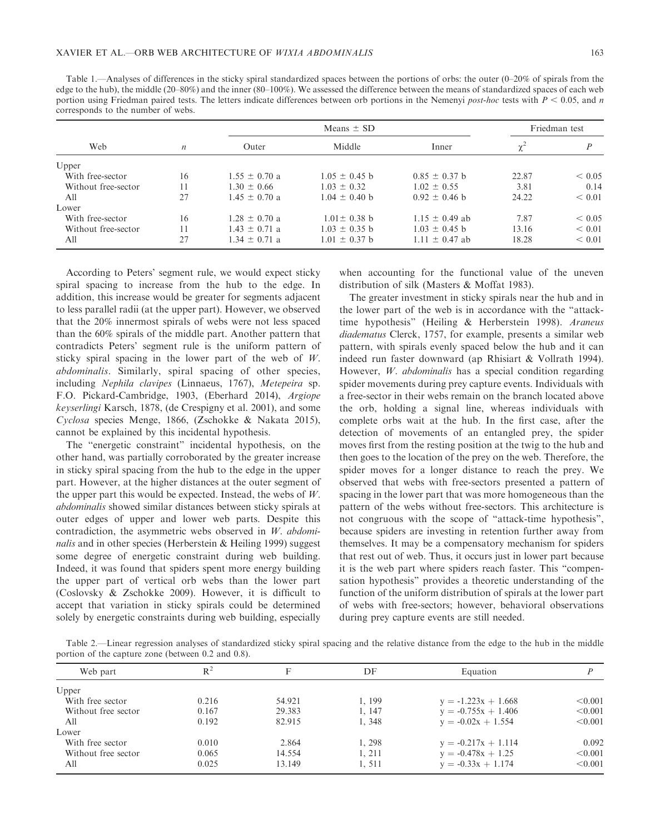|  | ۰,      | ı        |
|--|---------|----------|
|  | ×<br>۰. | . .<br>I |

Table 1.—Analyses of differences in the sticky spiral standardized spaces between the portions of orbs: the outer (0–20% of spirals from the edge to the hub), the middle (20–80%) and the inner (80–100%). We assessed the difference between the means of standardized spaces of each web portion using Friedman paired tests. The letters indicate differences between orb portions in the Nemenyi post-hoc tests with  $P < 0.05$ , and n corresponds to the number of webs.

| Web                 |                  | Means $\pm$ SD    |                   |                    | Friedman test |        |
|---------------------|------------------|-------------------|-------------------|--------------------|---------------|--------|
|                     | $\boldsymbol{n}$ | Outer             | Middle            | Inner              | $\chi^2$      |        |
| Upper               |                  |                   |                   |                    |               |        |
| With free-sector    | 16               | $1.55 \pm 0.70$ a | $1.05 \pm 0.45$ b | $0.85 \pm 0.37$ b  | 22.87         | < 0.05 |
| Without free-sector | 11               | $1.30 \pm 0.66$   | $1.03 \pm 0.32$   | $1.02 \pm 0.55$    | 3.81          | 0.14   |
| All                 | 27               | $1.45 \pm 0.70$ a | $1.04 \pm 0.40$ b | $0.92 \pm 0.46$ b  | 24.22         | < 0.01 |
| Lower               |                  |                   |                   |                    |               |        |
| With free-sector    | 16               | $1.28 \pm 0.70$ a | $1.01 \pm 0.38$ b | $1.15 \pm 0.49$ ab | 7.87          | < 0.05 |
| Without free-sector | 11               | $1.43 \pm 0.71$ a | $1.03 \pm 0.35$ b | $1.03 \pm 0.45$ b  | 13.16         | < 0.01 |
| All                 | 27               | $1.34 \pm 0.71$ a | $1.01 \pm 0.37$ b | $1.11 \pm 0.47$ ab | 18.28         | < 0.01 |
|                     |                  |                   |                   |                    |               |        |

According to Peters' segment rule, we would expect sticky spiral spacing to increase from the hub to the edge. In addition, this increase would be greater for segments adjacent to less parallel radii (at the upper part). However, we observed that the 20% innermost spirals of webs were not less spaced than the 60% spirals of the middle part. Another pattern that contradicts Peters' segment rule is the uniform pattern of sticky spiral spacing in the lower part of the web of W. abdominalis. Similarly, spiral spacing of other species, including Nephila clavipes (Linnaeus, 1767), Metepeira sp. F.O. Pickard-Cambridge, 1903, (Eberhard 2014), Argiope keyserlingi Karsch, 1878, (de Crespigny et al. 2001), and some Cyclosa species Menge, 1866, (Zschokke & Nakata 2015), cannot be explained by this incidental hypothesis.

The ''energetic constraint'' incidental hypothesis, on the other hand, was partially corroborated by the greater increase in sticky spiral spacing from the hub to the edge in the upper part. However, at the higher distances at the outer segment of the upper part this would be expected. Instead, the webs of  $W$ . abdominalis showed similar distances between sticky spirals at outer edges of upper and lower web parts. Despite this contradiction, the asymmetric webs observed in W. abdominalis and in other species (Herberstein & Heiling 1999) suggest some degree of energetic constraint during web building. Indeed, it was found that spiders spent more energy building the upper part of vertical orb webs than the lower part (Coslovsky & Zschokke 2009). However, it is difficult to accept that variation in sticky spirals could be determined solely by energetic constraints during web building, especially

when accounting for the functional value of the uneven distribution of silk (Masters & Moffat 1983).

The greater investment in sticky spirals near the hub and in the lower part of the web is in accordance with the ''attacktime hypothesis" (Heiling & Herberstein 1998). Araneus diadematus Clerck, 1757, for example, presents a similar web pattern, with spirals evenly spaced below the hub and it can indeed run faster downward (ap Rhisiart & Vollrath 1994). However, W. abdominalis has a special condition regarding spider movements during prey capture events. Individuals with a free-sector in their webs remain on the branch located above the orb, holding a signal line, whereas individuals with complete orbs wait at the hub. In the first case, after the detection of movements of an entangled prey, the spider moves first from the resting position at the twig to the hub and then goes to the location of the prey on the web. Therefore, the spider moves for a longer distance to reach the prey. We observed that webs with free-sectors presented a pattern of spacing in the lower part that was more homogeneous than the pattern of the webs without free-sectors. This architecture is not congruous with the scope of ''attack-time hypothesis'', because spiders are investing in retention further away from themselves. It may be a compensatory mechanism for spiders that rest out of web. Thus, it occurs just in lower part because it is the web part where spiders reach faster. This ''compensation hypothesis'' provides a theoretic understanding of the function of the uniform distribution of spirals at the lower part of webs with free-sectors; however, behavioral observations during prey capture events are still needed.

Table 2.—Linear regression analyses of standardized sticky spiral spacing and the relative distance from the edge to the hub in the middle portion of the capture zone (between 0.2 and 0.8).

| Web part            | $R^2$ |        | DF     | Equation              |         |
|---------------------|-------|--------|--------|-----------------------|---------|
| Upper               |       |        |        |                       |         |
| With free sector    | 0.216 | 54.921 | 1, 199 | $y = -1.223x + 1.668$ | < 0.001 |
| Without free sector | 0.167 | 29.383 | 1, 147 | $y = -0.755x + 1.406$ | < 0.001 |
| A11                 | 0.192 | 82.915 | 1, 348 | $y = -0.02x + 1.554$  | < 0.001 |
| Lower               |       |        |        |                       |         |
| With free sector    | 0.010 | 2.864  | 1, 298 | $y = -0.217x + 1.114$ | 0.092   |
| Without free sector | 0.065 | 14.554 | 1.211  | $y = -0.478x + 1.25$  | < 0.001 |
| All                 | 0.025 | 13.149 | 1,511  | $y = -0.33x + 1.174$  | < 0.001 |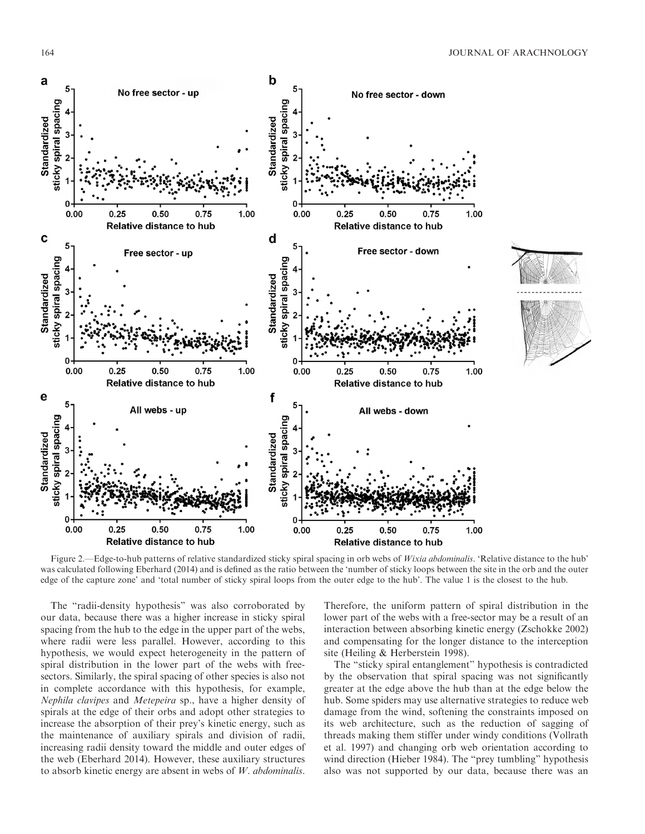

Figure 2.—Edge-to-hub patterns of relative standardized sticky spiral spacing in orb webs of Wixia abdominalis. 'Relative distance to the hub' was calculated following Eberhard (2014) and is defined as the ratio between the 'number of sticky loops between the site in the orb and the outer edge of the capture zone' and 'total number of sticky spiral loops from the outer edge to the hub'. The value 1 is the closest to the hub.

The ''radii-density hypothesis'' was also corroborated by our data, because there was a higher increase in sticky spiral spacing from the hub to the edge in the upper part of the webs, where radii were less parallel. However, according to this hypothesis, we would expect heterogeneity in the pattern of spiral distribution in the lower part of the webs with freesectors. Similarly, the spiral spacing of other species is also not in complete accordance with this hypothesis, for example, Nephila clavipes and Metepeira sp., have a higher density of spirals at the edge of their orbs and adopt other strategies to increase the absorption of their prey's kinetic energy, such as the maintenance of auxiliary spirals and division of radii, increasing radii density toward the middle and outer edges of the web (Eberhard 2014). However, these auxiliary structures to absorb kinetic energy are absent in webs of  $W$ . abdominalis.

Therefore, the uniform pattern of spiral distribution in the lower part of the webs with a free-sector may be a result of an interaction between absorbing kinetic energy (Zschokke 2002) and compensating for the longer distance to the interception site (Heiling & Herberstein 1998).

The ''sticky spiral entanglement'' hypothesis is contradicted by the observation that spiral spacing was not significantly greater at the edge above the hub than at the edge below the hub. Some spiders may use alternative strategies to reduce web damage from the wind, softening the constraints imposed on its web architecture, such as the reduction of sagging of threads making them stiffer under windy conditions (Vollrath et al. 1997) and changing orb web orientation according to wind direction (Hieber 1984). The "prey tumbling" hypothesis also was not supported by our data, because there was an